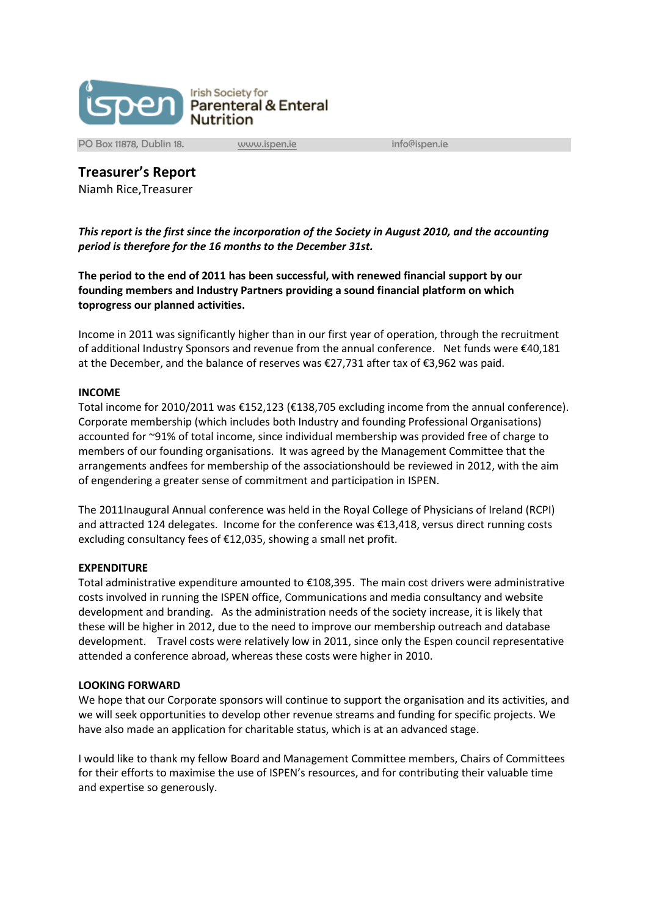

PO Box 11878, Dublin 18. [www.ispen.ie](http://www.ispen.ie/) info@ispen.ie

**Treasurer's Report**

Niamh Rice,Treasurer

*This report is the first since the incorporation of the Society in August 2010, and the accounting period is therefore for the 16 months to the December 31st.*

**The period to the end of 2011 has been successful, with renewed financial support by our founding members and Industry Partners providing a sound financial platform on which toprogress our planned activities.**

Income in 2011 was significantly higher than in our first year of operation, through the recruitment of additional Industry Sponsors and revenue from the annual conference. Net funds were €40,181 at the December, and the balance of reserves was €27,731 after tax of €3,962 was paid.

## **INCOME**

Total income for 2010/2011 was €152,123 (€138,705 excluding income from the annual conference). Corporate membership (which includes both Industry and founding Professional Organisations) accounted for ~91% of total income, since individual membership was provided free of charge to members of our founding organisations. It was agreed by the Management Committee that the arrangements andfees for membership of the associationshould be reviewed in 2012, with the aim of engendering a greater sense of commitment and participation in ISPEN.

The 2011Inaugural Annual conference was held in the Royal College of Physicians of Ireland (RCPI) and attracted 124 delegates. Income for the conference was €13,418, versus direct running costs excluding consultancy fees of €12,035, showing a small net profit.

## **EXPENDITURE**

Total administrative expenditure amounted to €108,395. The main cost drivers were administrative costs involved in running the ISPEN office, Communications and media consultancy and website development and branding. As the administration needs of the society increase, it is likely that these will be higher in 2012, due to the need to improve our membership outreach and database development. Travel costs were relatively low in 2011, since only the Espen council representative attended a conference abroad, whereas these costs were higher in 2010.

## **LOOKING FORWARD**

We hope that our Corporate sponsors will continue to support the organisation and its activities, and we will seek opportunities to develop other revenue streams and funding for specific projects. We have also made an application for charitable status, which is at an advanced stage.

I would like to thank my fellow Board and Management Committee members, Chairs of Committees for their efforts to maximise the use of ISPEN's resources, and for contributing their valuable time and expertise so generously.